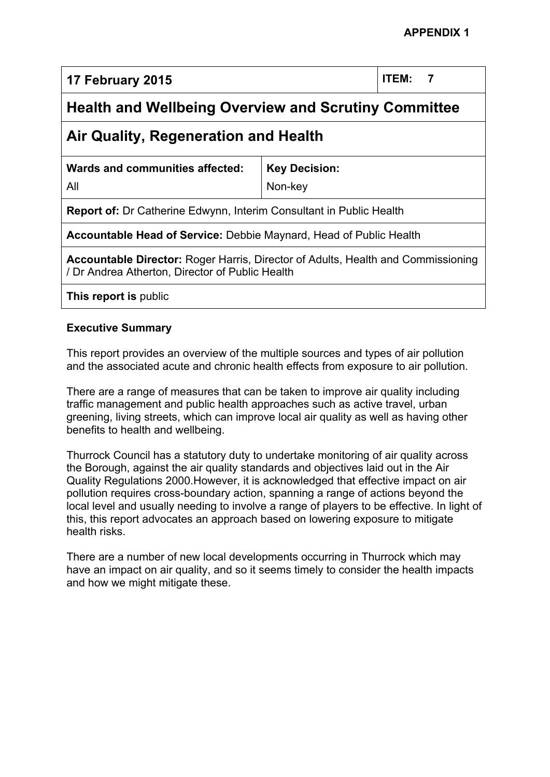**17 February 2015 ITEM: 7**

# **Health and Wellbeing Overview and Scrutiny Committee**

## **Air Quality, Regeneration and Health**

|  | <b>Wards and communities affected:</b> |  |
|--|----------------------------------------|--|
|  |                                        |  |

All

Non-key

**Key Decision:**

**Report of:** Dr Catherine Edwynn, Interim Consultant in Public Health

**Accountable Head of Service:** Debbie Maynard, Head of Public Health

**Accountable Director:** Roger Harris, Director of Adults, Health and Commissioning / Dr Andrea Atherton, Director of Public Health

**This report is** public

### **Executive Summary**

This report provides an overview of the multiple sources and types of air pollution and the associated acute and chronic health effects from exposure to air pollution.

There are a range of measures that can be taken to improve air quality including traffic management and public health approaches such as active travel, urban greening, living streets, which can improve local air quality as well as having other benefits to health and wellbeing.

Thurrock Council has a statutory duty to undertake monitoring of air quality across the Borough, against the air quality standards and objectives laid out in the Air Quality Regulations 2000.However, it is acknowledged that effective impact on air pollution requires cross-boundary action, spanning a range of actions beyond the local level and usually needing to involve a range of players to be effective. In light of this, this report advocates an approach based on lowering exposure to mitigate health risks.

There are a number of new local developments occurring in Thurrock which may have an impact on air quality, and so it seems timely to consider the health impacts and how we might mitigate these.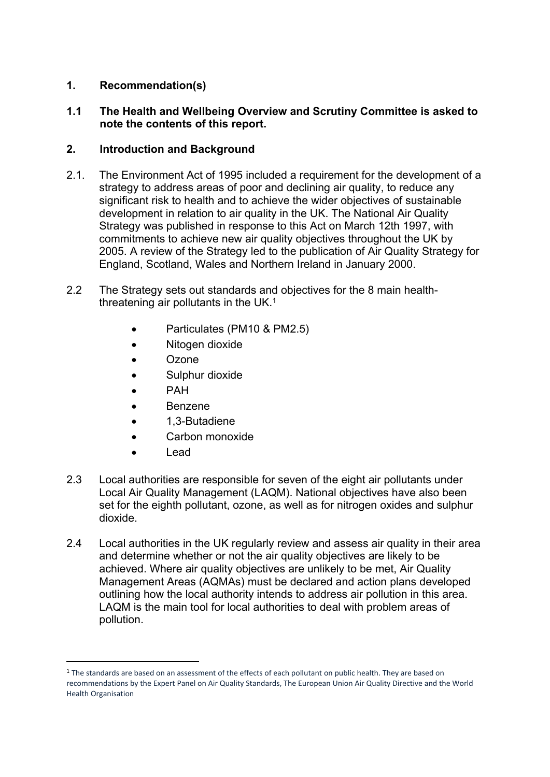### **1. Recommendation(s)**

### **1.1 The Health and Wellbeing Overview and Scrutiny Committee is asked to note the contents of this report.**

### **2. Introduction and Background**

- 2.1. The Environment Act of 1995 included a requirement for the development of a strategy to address areas of poor and declining air quality, to reduce any significant risk to health and to achieve the wider objectives of sustainable development in relation to air quality in the UK. The National Air Quality Strategy was published in response to this Act on March 12th 1997, with commitments to achieve new air quality objectives throughout the UK by 2005. A review of the Strategy led to the publication of Air Quality Strategy for England, Scotland, Wales and Northern Ireland in January 2000.
- 2.2 The Strategy sets out standards and objectives for the 8 main healththreatening air pollutants in the UK. $<sup>1</sup>$ </sup>
	- Particulates (PM10 & PM2.5)
	- Nitogen dioxide
	- Ozone
	- Sulphur dioxide
	- PAH
	- Benzene
	- 1,3-Butadiene
	- Carbon monoxide
	- Lead
- 2.3 Local authorities are responsible for seven of the eight air pollutants under Local Air Quality Management (LAQM). National objectives have also been set for the eighth pollutant, ozone, as well as for nitrogen oxides and sulphur dioxide.
- 2.4 Local authorities in the UK regularly review and assess air quality in their area and determine whether or not the air quality objectives are likely to be achieved. Where air quality objectives are unlikely to be met, Air Quality Management Areas (AQMAs) must be declared and action plans developed outlining how the local authority intends to address air pollution in this area. LAQM is the main tool for local authorities to deal with problem areas of pollution.

<sup>&</sup>lt;sup>1</sup> The standards are based on an assessment of the effects of each pollutant on public health. They are based on recommendations by the Expert Panel on Air Quality Standards, The European Union Air Quality Directive and the World Health Organisation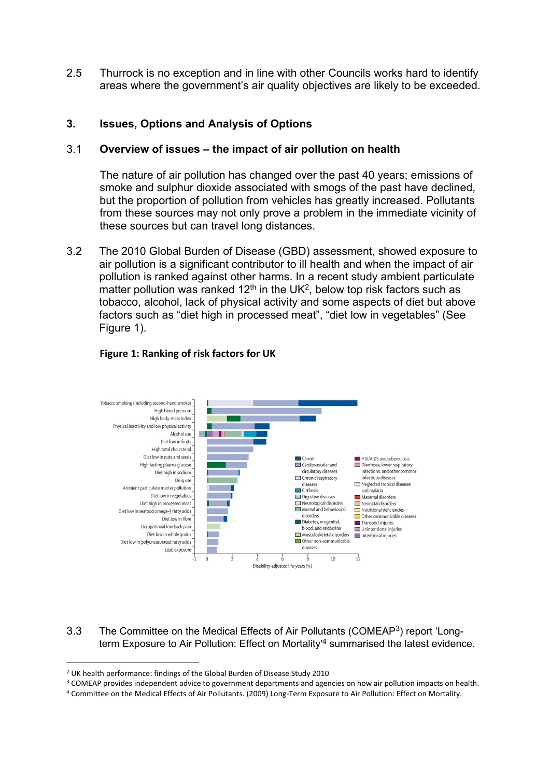2.5 Thurrock is no exception and in line with other Councils works hard to identify areas where the government's air quality objectives are likely to be exceeded.

### **3. Issues, Options and Analysis of Options**

#### 3.1 **Overview of issues – the impact of air pollution on health**

The nature of air pollution has changed over the past 40 years; emissions of smoke and sulphur dioxide associated with smogs of the past have declined, but the proportion of pollution from vehicles has greatly increased. Pollutants from these sources may not only prove a problem in the immediate vicinity of these sources but can travel long distances.

3.2 The 2010 Global Burden of Disease (GBD) assessment, showed exposure to air pollution is a significant contributor to ill health and when the impact of air pollution is ranked against other harms. In a recent study ambient particulate matter pollution was ranked 12<sup>th</sup> in the UK<sup>2</sup>, below top risk factors such as tobacco, alcohol, lack of physical activity and some aspects of diet but above factors such as "diet high in processed meat", "diet low in vegetables" (See Figure 1).



#### **Figure 1: Ranking of risk factors for UK**

3.3 The Committee on the Medical Effects of Air Pollutants (COMEAP<sup>3</sup>) report 'Longterm Exposure to Air Pollution: Effect on Mortality<sup>4</sup> summarised the latest evidence.

<sup>3</sup> COMEAP provides independent advice to government departments and agencies on how air pollution impacts on health.

<sup>2</sup> UK health performance: findings of the Global Burden of Disease Study 2010

<sup>4</sup> Committee on the Medical Effects of Air Pollutants. (2009) Long-Term Exposure to Air Pollution: Effect on Mortality.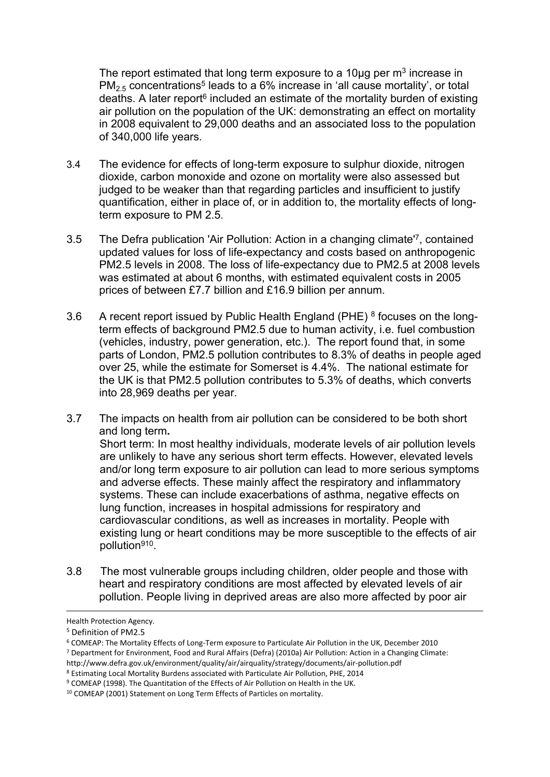The report estimated that long term exposure to a 10 $\mu$ g per m<sup>3</sup> increase in  $PM_{2.5}$  concentrations<sup>5</sup> leads to a 6% increase in 'all cause mortality', or total deaths. A later report<sup>6</sup> included an estimate of the mortality burden of existing air pollution on the population of the UK: demonstrating an effect on mortality in 2008 equivalent to 29,000 deaths and an associated loss to the population of 340,000 life years.

- 3.4 The evidence for effects of long-term exposure to sulphur dioxide, nitrogen dioxide, carbon monoxide and ozone on mortality were also assessed but judged to be weaker than that regarding particles and insufficient to justify quantification, either in place of, or in addition to, the mortality effects of longterm exposure to PM 2.5.
- 3.5 The Defra publication 'Air Pollution: Action in a changing climate'<sup>7</sup> , contained updated values for loss of life-expectancy and costs based on anthropogenic PM2.5 levels in 2008. The loss of life-expectancy due to PM2.5 at 2008 levels was estimated at about 6 months, with estimated equivalent costs in 2005 prices of between £7.7 billion and £16.9 billion per annum.
- 3.6 A recent report issued by Public Health England (PHE)  $8$  focuses on the longterm effects of background PM2.5 due to human activity, i.e. fuel combustion (vehicles, industry, power generation, etc.). The report found that, in some parts of London, PM2.5 pollution contributes to 8.3% of deaths in people aged over 25, while the estimate for Somerset is 4.4%. The national estimate for the UK is that PM2.5 pollution contributes to 5.3% of deaths, which converts into 28,969 deaths per year.
- 3.7 The impacts on health from air pollution can be considered to be both short and long term**.** Short term: In most healthy individuals, moderate levels of air pollution levels are unlikely to have any serious short term effects. However, elevated levels and/or long term exposure to air pollution can lead to more serious symptoms and adverse effects. These mainly affect the respiratory and inflammatory systems. These can include exacerbations of asthma, negative effects on lung function, increases in hospital admissions for respiratory and cardiovascular conditions, as well as increases in mortality. People with existing lung or heart conditions may be more susceptible to the effects of air pollution<sup>910</sup>.
- 3.8 The most vulnerable groups including children, older people and those with heart and respiratory conditions are most affected by elevated levels of air pollution. People living in deprived areas are also more affected by poor air

Health Protection Agency.

<sup>5</sup> Definition of PM2.5

<sup>6</sup> COMEAP: The Mortality Effects of Long-Term exposure to Particulate Air Pollution in the UK, December 2010 <sup>7</sup> Department for Environment, Food and Rural Affairs (Defra) (2010a) Air Pollution: Action in a Changing Climate:

http://www.defra.gov.uk/environment/quality/air/airquality/strategy/documents/air-pollution.pdf

<sup>8</sup> Estimating Local Mortality Burdens associated with Particulate Air Pollution, PHE, 2014

<sup>9</sup> COMEAP (1998). The Quantitation of the Effects of Air Pollution on Health in the UK.

<sup>10</sup> COMEAP (2001) Statement on Long Term Effects of Particles on mortality.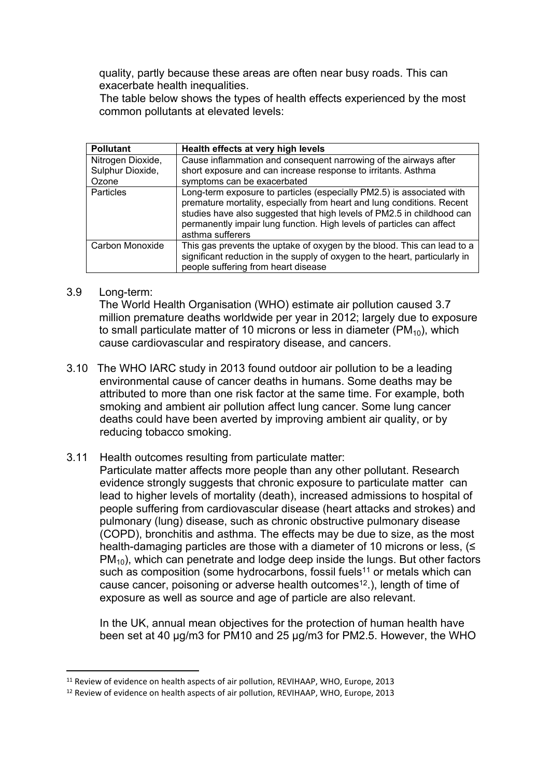quality, partly because these areas are often near busy roads. This can exacerbate health inequalities.

The table below shows the types of health effects experienced by the most common pollutants at elevated levels:

| <b>Pollutant</b>          | Health effects at very high levels                                                                                                                                                                                                                                                                                     |
|---------------------------|------------------------------------------------------------------------------------------------------------------------------------------------------------------------------------------------------------------------------------------------------------------------------------------------------------------------|
| Nitrogen Dioxide,         | Cause inflammation and consequent narrowing of the airways after                                                                                                                                                                                                                                                       |
| Sulphur Dioxide,<br>Ozone | short exposure and can increase response to irritants. Asthma<br>symptoms can be exacerbated                                                                                                                                                                                                                           |
| <b>Particles</b>          | Long-term exposure to particles (especially PM2.5) is associated with<br>premature mortality, especially from heart and lung conditions. Recent<br>studies have also suggested that high levels of PM2.5 in childhood can<br>permanently impair lung function. High levels of particles can affect<br>asthma sufferers |
| Carbon Monoxide           | This gas prevents the uptake of oxygen by the blood. This can lead to a<br>significant reduction in the supply of oxygen to the heart, particularly in<br>people suffering from heart disease                                                                                                                          |

#### 3.9 Long-term:

The World Health Organisation (WHO) estimate air pollution caused 3.7 million premature deaths worldwide per year in 2012; largely due to exposure to small particulate matter of 10 microns or less in diameter ( $PM_{10}$ ), which cause cardiovascular and respiratory disease, and cancers.

- 3.10 The WHO IARC study in 2013 found outdoor air pollution to be a leading environmental cause of cancer deaths in humans. Some deaths may be attributed to more than one risk factor at the same time. For example, both smoking and ambient air pollution affect lung cancer. Some lung cancer deaths could have been averted by improving ambient air quality, or by reducing tobacco smoking.
- 3.11 Health outcomes resulting from particulate matter:

Particulate matter affects more people than any other pollutant. Research evidence strongly suggests that chronic exposure to particulate matter can lead to higher levels of mortality (death), increased admissions to hospital of people suffering from cardiovascular disease (heart attacks and strokes) and pulmonary (lung) disease, such as chronic obstructive pulmonary disease (COPD), bronchitis and asthma. The effects may be due to size, as the most health-damaging particles are those with a diameter of 10 microns or less, (≤  $PM_{10}$ ), which can penetrate and lodge deep inside the lungs. But other factors such as composition (some hydrocarbons, fossil fuels<sup>11</sup> or metals which can cause cancer, poisoning or adverse health outcomes<sup>12</sup>.), length of time of exposure as well as source and age of particle are also relevant.

In the UK, annual mean objectives for the protection of human health have been set at 40 µg/m3 for PM10 and 25 µg/m3 for PM2.5. However, the WHO

<sup>&</sup>lt;sup>11</sup> Review of evidence on health aspects of air pollution, REVIHAAP, WHO, Europe, 2013

<sup>&</sup>lt;sup>12</sup> Review of evidence on health aspects of air pollution, REVIHAAP, WHO, Europe, 2013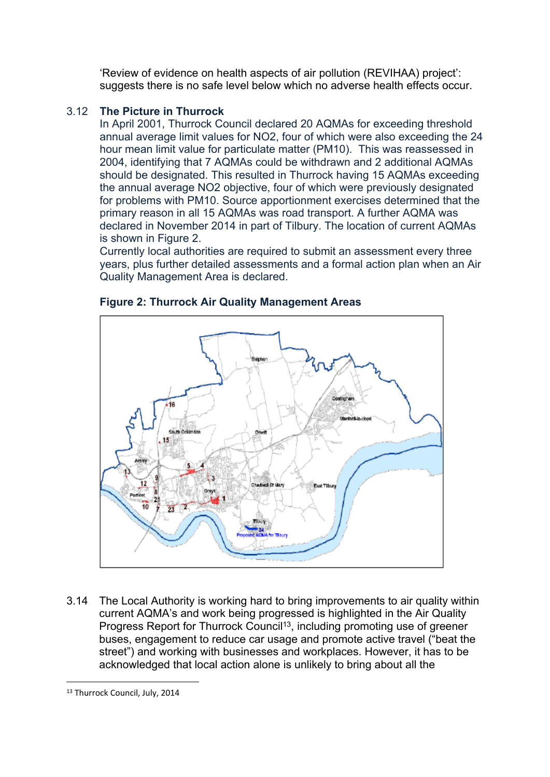'Review of evidence on health aspects of air pollution (REVIHAA) project': suggests there is no safe level below which no adverse health effects occur.

### 3.12 **The Picture in Thurrock**

In April 2001, Thurrock Council declared 20 AQMAs for exceeding threshold annual average limit values for NO2, four of which were also exceeding the 24 hour mean limit value for particulate matter (PM10). This was reassessed in 2004, identifying that 7 AQMAs could be withdrawn and 2 additional AQMAs should be designated. This resulted in Thurrock having 15 AQMAs exceeding the annual average NO2 objective, four of which were previously designated for problems with PM10. Source apportionment exercises determined that the primary reason in all 15 AQMAs was road transport. A further AQMA was declared in November 2014 in part of Tilbury. The location of current AQMAs is shown in Figure 2.

Currently local authorities are required to submit an assessment every three years, plus further detailed assessments and a formal action plan when an Air Quality Management Area is declared.



**Figure 2: Thurrock Air Quality Management Areas**

3.14 The Local Authority is working hard to bring improvements to air quality within current AQMA's and work being progressed is highlighted in the Air Quality Progress Report for Thurrock Council<sup>13</sup>, including promoting use of greener buses, engagement to reduce car usage and promote active travel ("beat the street") and working with businesses and workplaces. However, it has to be acknowledged that local action alone is unlikely to bring about all the

<sup>&</sup>lt;sup>13</sup> Thurrock Council, July, 2014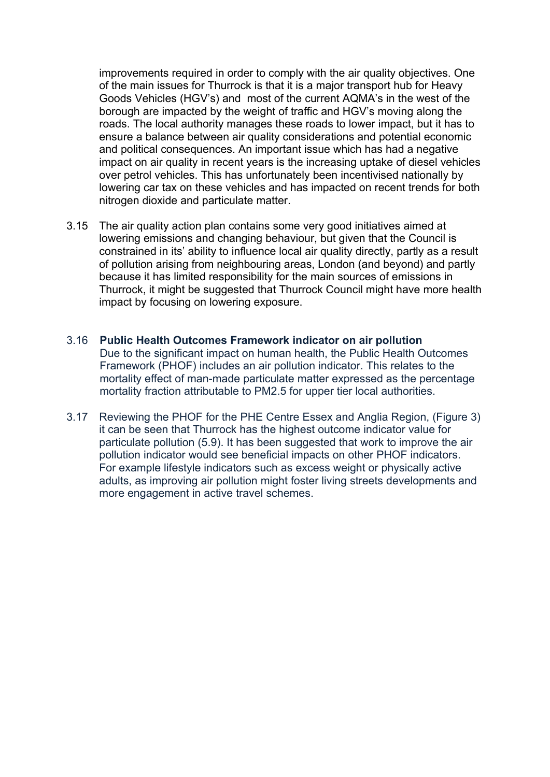improvements required in order to comply with the air quality objectives. One of the main issues for Thurrock is that it is a major transport hub for Heavy Goods Vehicles (HGV's) and most of the current AQMA's in the west of the borough are impacted by the weight of traffic and HGV's moving along the roads. The local authority manages these roads to lower impact, but it has to ensure a balance between air quality considerations and potential economic and political consequences. An important issue which has had a negative impact on air quality in recent years is the increasing uptake of diesel vehicles over petrol vehicles. This has unfortunately been incentivised nationally by lowering car tax on these vehicles and has impacted on recent trends for both nitrogen dioxide and particulate matter.

- 3.15 The air quality action plan contains some very good initiatives aimed at lowering emissions and changing behaviour, but given that the Council is constrained in its' ability to influence local air quality directly, partly as a result of pollution arising from neighbouring areas, London (and beyond) and partly because it has limited responsibility for the main sources of emissions in Thurrock, it might be suggested that Thurrock Council might have more health impact by focusing on lowering exposure.
- 3.16 **Public Health Outcomes Framework indicator on air pollution** Due to the significant impact on human health, the Public Health Outcomes Framework (PHOF) includes an air pollution indicator. This relates to the mortality effect of man-made particulate matter expressed as the percentage mortality fraction attributable to PM2.5 for upper tier local authorities.
- 3.17 Reviewing the PHOF for the PHE Centre Essex and Anglia Region, (Figure 3) it can be seen that Thurrock has the highest outcome indicator value for particulate pollution (5.9). It has been suggested that work to improve the air pollution indicator would see beneficial impacts on other PHOF indicators. For example lifestyle indicators such as excess weight or physically active adults, as improving air pollution might foster living streets developments and more engagement in active travel schemes.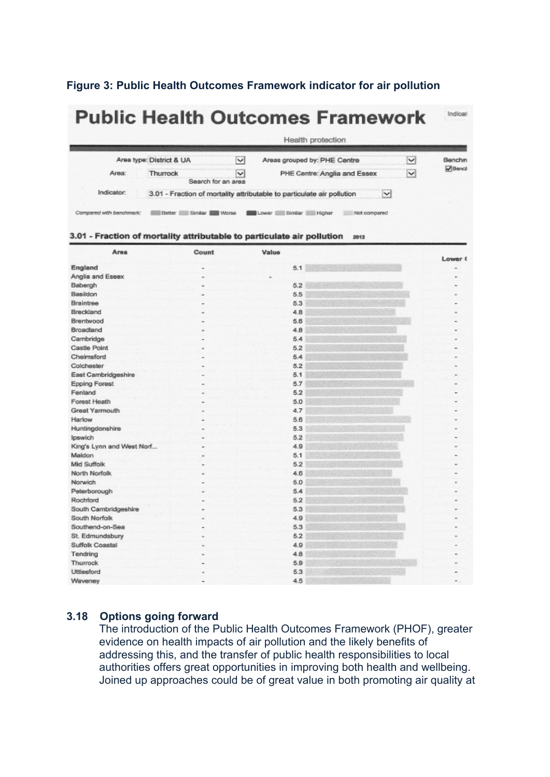#### **Figure 3: Public Health Outcomes Framework indicator for air pollution**

| <b>Public Health Outcomes Framework</b> |                                                                                        |                                    |                                            |              |                |  |  |
|-----------------------------------------|----------------------------------------------------------------------------------------|------------------------------------|--------------------------------------------|--------------|----------------|--|--|
|                                         |                                                                                        |                                    | Health protection                          |              |                |  |  |
|                                         | Area type: District & UA                                                               | $\vee$                             | Areas grouped by: PHE Centre               | $\checkmark$ | Benchn         |  |  |
| Area:                                   | Thurrock                                                                               | $\checkmark$<br>Search for an area | PHE Centre: Anglia and Essex               | $\checkmark$ | <b>D</b> Benci |  |  |
| Indicator:                              | 3.01 - Fraction of mortality attributable to particulate air pollution<br>$\checkmark$ |                                    |                                            |              |                |  |  |
| Compared with benchmark:                | Similar ISB<br>Better II                                                               | Worse                              | Similar<br>Higher<br>Not compared<br>Lower |              |                |  |  |

#### 3.01 - Fraction of mortality attributable to particulate air pollution 2012

| Area                      | Count | Value | Lower ( |
|---------------------------|-------|-------|---------|
| England                   |       | 5.1   |         |
| Anglia and Essex          |       |       |         |
| Babergh                   |       | 5.2   |         |
| Basildon                  |       | 5.5   |         |
| Braintree                 |       | 5.3   |         |
| Breckland                 | ۰     | 4.8   |         |
| Brentwood                 |       | 5.6   |         |
| Broadland                 |       | 4.8   |         |
| Cambridge                 |       | 5.4   |         |
| Castle Point              |       | 5.2   |         |
| Chelmsford                |       | 5,4   |         |
| Colchester                |       | 5.2   |         |
| East Cambridgeshire       |       | 5.1   |         |
| <b>Epping Forest</b>      |       | 5.7   |         |
| Fenland                   |       | 5.2   |         |
| Forest Heath              |       | 5.0   |         |
| Great Yarmouth            |       | 4.7   |         |
| Harlow                    |       | 5.6   |         |
| Huntingdonshire           |       | 5.3   |         |
| Ipswich                   |       | 5.2   |         |
| King's Lynn and West Norf |       | 4.9   |         |
| Maldon                    |       | 5.1   |         |
| Mid Suffolk               |       | 5.2   |         |
| North Norfolk             |       | 4.6   |         |
| Norwich                   |       | 5.0   |         |
| Peterborough              |       | 5.4   |         |
| Rochford                  |       | 5.2   |         |
| South Cambridgeshire      |       | 5.3   |         |
| South Norfolk             |       | 4.9   |         |
| Southend-on-Sea           |       | 5.3   |         |
| St. Edmundsbury           |       | 5.2   |         |
| Suffolk Coastal           |       | 4.9   |         |
| Tendring                  |       | 4.8   |         |
| Thurrock                  |       | 5.9   |         |
| Uttlesford                |       | 5.3   |         |
| Waveney                   |       | 4.5   | ۰       |

## **3.18 Options going forward**

The introduction of the Public Health Outcomes Framework (PHOF), greater evidence on health impacts of air pollution and the likely benefits of addressing this, and the transfer of public health responsibilities to local authorities offers great opportunities in improving both health and wellbeing. Joined up approaches could be of great value in both promoting air quality at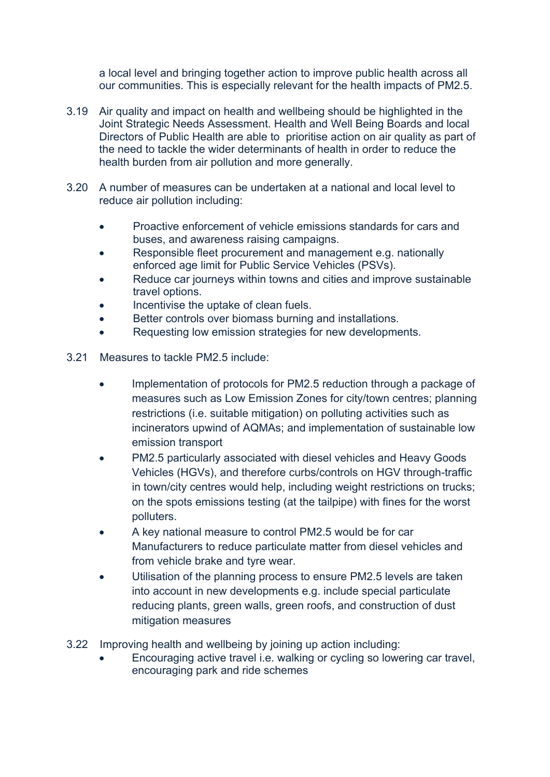a local level and bringing together action to improve public health across all our communities. This is especially relevant for the health impacts of PM2.5.

- 3.19 Air quality and impact on health and wellbeing should be highlighted in the Joint Strategic Needs Assessment. Health and Well Being Boards and local Directors of Public Health are able to prioritise action on air quality as part of the need to tackle the wider determinants of health in order to reduce the health burden from air pollution and more generally.
- 3.20 A number of measures can be undertaken at a national and local level to reduce air pollution including:
	- Proactive enforcement of vehicle emissions standards for cars and buses, and awareness raising campaigns.
	- Responsible fleet procurement and management e.g. nationally enforced age limit for Public Service Vehicles (PSVs).
	- Reduce car journeys within towns and cities and improve sustainable travel options.
	- Incentivise the uptake of clean fuels.
	- Better controls over biomass burning and installations.
	- Requesting low emission strategies for new developments.
- 3.21 Measures to tackle PM2.5 include:
	- Implementation of protocols for PM2.5 reduction through a package of measures such as Low Emission Zones for city/town centres; planning restrictions (i.e. suitable mitigation) on polluting activities such as incinerators upwind of AQMAs; and implementation of sustainable low emission transport
	- PM2.5 particularly associated with diesel vehicles and Heavy Goods Vehicles (HGVs), and therefore curbs/controls on HGV through-traffic in town/city centres would help, including weight restrictions on trucks; on the spots emissions testing (at the tailpipe) with fines for the worst polluters.
	- A key national measure to control PM2.5 would be for car Manufacturers to reduce particulate matter from diesel vehicles and from vehicle brake and tyre wear.
	- Utilisation of the planning process to ensure PM2.5 levels are taken into account in new developments e.g. include special particulate reducing plants, green walls, green roofs, and construction of dust mitigation measures
- 3.22 Improving health and wellbeing by joining up action including:
	- Encouraging active travel i.e. walking or cycling so lowering car travel, encouraging park and ride schemes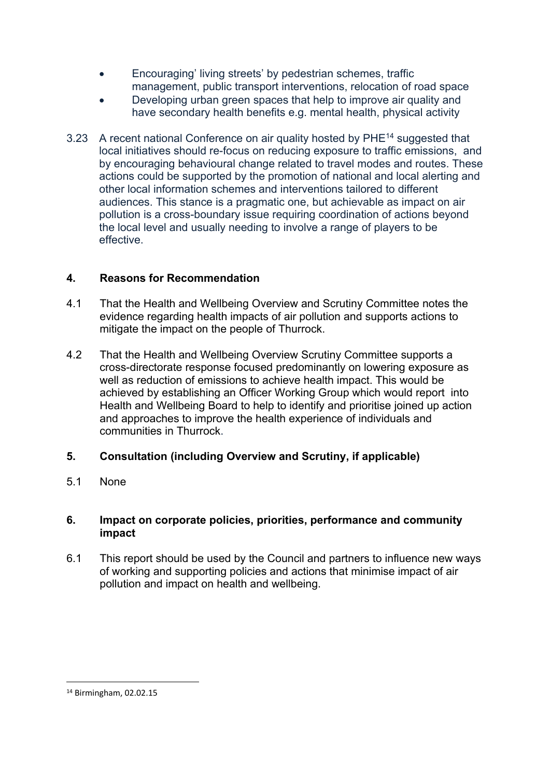- Encouraging' living streets' by pedestrian schemes, traffic management, public transport interventions, relocation of road space
- Developing urban green spaces that help to improve air quality and have secondary health benefits e.g. mental health, physical activity
- 3.23 A recent national Conference on air quality hosted by PHE<sup>14</sup> suggested that local initiatives should re-focus on reducing exposure to traffic emissions, and by encouraging behavioural change related to travel modes and routes. These actions could be supported by the promotion of national and local alerting and other local information schemes and interventions tailored to different audiences. This stance is a pragmatic one, but achievable as impact on air pollution is a cross-boundary issue requiring coordination of actions beyond the local level and usually needing to involve a range of players to be effective.

## **4. Reasons for Recommendation**

- 4.1 That the Health and Wellbeing Overview and Scrutiny Committee notes the evidence regarding health impacts of air pollution and supports actions to mitigate the impact on the people of Thurrock.
- 4.2 That the Health and Wellbeing Overview Scrutiny Committee supports a cross-directorate response focused predominantly on lowering exposure as well as reduction of emissions to achieve health impact. This would be achieved by establishing an Officer Working Group which would report into Health and Wellbeing Board to help to identify and prioritise joined up action and approaches to improve the health experience of individuals and communities in Thurrock.

## **5. Consultation (including Overview and Scrutiny, if applicable)**

5.1 None

### **6. Impact on corporate policies, priorities, performance and community impact**

6.1 This report should be used by the Council and partners to influence new ways of working and supporting policies and actions that minimise impact of air pollution and impact on health and wellbeing.

<sup>14</sup> Birmingham, 02.02.15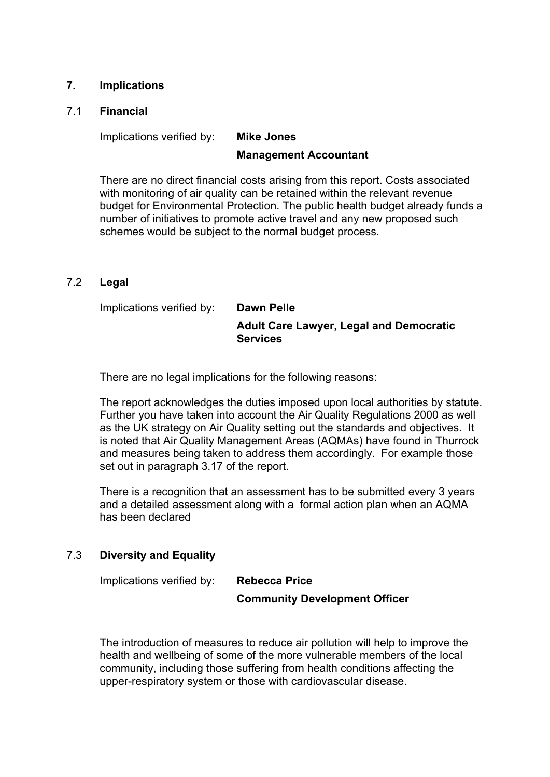### **7. Implications**

#### 7.1 **Financial**

Implications verified by: **Mike Jones**

### **Management Accountant**

There are no direct financial costs arising from this report. Costs associated with monitoring of air quality can be retained within the relevant revenue budget for Environmental Protection. The public health budget already funds a number of initiatives to promote active travel and any new proposed such schemes would be subject to the normal budget process.

#### 7.2 **Legal**

Implications verified by: **Dawn Pelle Adult Care Lawyer, Legal and Democratic Services**

There are no legal implications for the following reasons:

The report acknowledges the duties imposed upon local authorities by statute. Further you have taken into account the Air Quality Regulations 2000 as well as the UK strategy on Air Quality setting out the standards and objectives. It is noted that Air Quality Management Areas (AQMAs) have found in Thurrock and measures being taken to address them accordingly. For example those set out in paragraph 3.17 of the report.

There is a recognition that an assessment has to be submitted every 3 years and a detailed assessment along with a formal action plan when an AQMA has been declared

### 7.3 **Diversity and Equality**

Implications verified by: **Rebecca Price**

**Community Development Officer**

The introduction of measures to reduce air pollution will help to improve the health and wellbeing of some of the more vulnerable members of the local community, including those suffering from health conditions affecting the upper-respiratory system or those with cardiovascular disease.